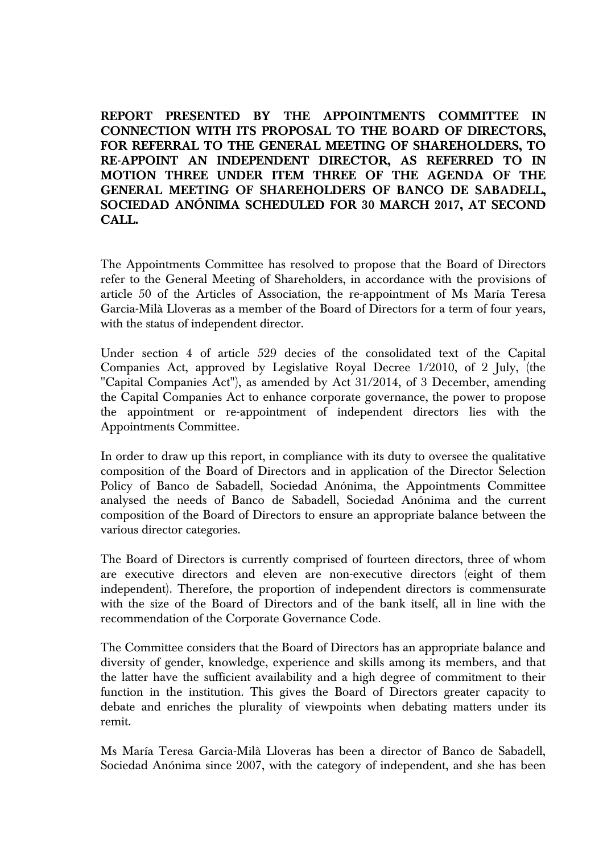**REPORT PRESENTED BY THE APPOINTMENTS COMMITTEE IN CONNECTION WITH ITS PROPOSAL TO THE BOARD OF DIRECTORS, FOR REFERRAL TO THE GENERAL MEETING OF SHAREHOLDERS, TO RE-APPOINT AN INDEPENDENT DIRECTOR, AS REFERRED TO IN MOTION THREE UNDER ITEM THREE OF THE AGENDA OF THE GENERAL MEETING OF SHAREHOLDERS OF BANCO DE SABADELL, SOCIEDAD ANÓNIMA SCHEDULED FOR 30 MARCH 2017, AT SECOND CALL.** 

The Appointments Committee has resolved to propose that the Board of Directors refer to the General Meeting of Shareholders, in accordance with the provisions of article 50 of the Articles of Association, the re-appointment of Ms María Teresa Garcia-Milà Lloveras as a member of the Board of Directors for a term of four years, with the status of independent director.

Under section 4 of article 529 decies of the consolidated text of the Capital Companies Act, approved by Legislative Royal Decree 1/2010, of 2 July, (the "Capital Companies Act"), as amended by Act 31/2014, of 3 December, amending the Capital Companies Act to enhance corporate governance, the power to propose the appointment or re-appointment of independent directors lies with the Appointments Committee.

In order to draw up this report, in compliance with its duty to oversee the qualitative composition of the Board of Directors and in application of the Director Selection Policy of Banco de Sabadell, Sociedad Anónima, the Appointments Committee analysed the needs of Banco de Sabadell, Sociedad Anónima and the current composition of the Board of Directors to ensure an appropriate balance between the various director categories.

The Board of Directors is currently comprised of fourteen directors, three of whom are executive directors and eleven are non-executive directors (eight of them independent). Therefore, the proportion of independent directors is commensurate with the size of the Board of Directors and of the bank itself, all in line with the recommendation of the Corporate Governance Code.

The Committee considers that the Board of Directors has an appropriate balance and diversity of gender, knowledge, experience and skills among its members, and that the latter have the sufficient availability and a high degree of commitment to their function in the institution. This gives the Board of Directors greater capacity to debate and enriches the plurality of viewpoints when debating matters under its remit.

Ms María Teresa Garcia-Milà Lloveras has been a director of Banco de Sabadell, Sociedad Anónima since 2007, with the category of independent, and she has been